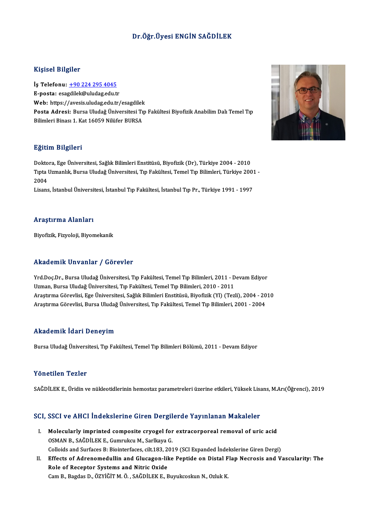#### Dr.Öğr.Üyesi ENGİN SAĞDİLEK

#### Kişisel Bilgiler

Kişisel Bilgiler<br>İş Telefonu: <u>+90 224 295 4045</u><br>E nosta: esazdilek@uludas.edu.tr 11191001 D1191101<br>İş Telefonu: <u>+90 224 295 4045</u><br>E-posta: esa[gdilek@uludag.edu.t](tel:+90 224 295 4045)r İş Telefonu: <u>+90 224 295 4045</u><br>E-posta: esagdilek@uludag.edu.tr<br>Web: https://avesis.uludag.edu.tr/esagdilek<br>Posta Adrasi: Burse Uludağ Üniversitesi Tr E-posta: esagdilek@uludag.edu.tr<br>Web: https://avesis.uludag.edu.tr/esagdilek<br>Posta Adresi: Bursa Uludağ Üniversitesi Tıp Fakültesi Biyofizik Anabilim Dalı Temel Tıp<br>Bilimleri Binası 1. Kat 16059 Nilüfer BURSA **Web:** https://avesis.uludag.edu.tr/esagdilek<br><mark>Posta Adresi:</mark> Bursa Uludağ Üniversitesi Tı<sub>l</sub><br>Bilimleri Binası 1. Kat 16059 Nilüfer BURSA

#### Eğitim Bilgileri

<mark>Eğitim Bilgileri</mark><br>Doktora, Ege Üniversitesi, Sağlık Bilimleri Enstitüsü, Biyofizik (Dr), Türkiye 2004 - 2010<br>Turta Hamanlık Burga Hudağ Üniversitesi "En Fakültesi "Emal "un Bilimleri, Türkiye 200 Tıpta Uzmanlık, Bursa Uludağ Üniversitesi, Tıp Fakültesi, Temel Tıp Bilimleri, Türkiye 2001 -<br>2004 Dokto<br>Tipta<br>2004<br>Lisare

Lisans, İstanbul Üniversitesi, İstanbul Tıp Fakültesi, İstanbul Tıp Pr., Türkiye 1991 - 1997

#### Araştırma Alanları

Biyofizik,Fizyoloji,Biyomekanik

#### Akademik Unvanlar / Görevler

Akademik Unvanlar / Görevler<br>Yrd.Doç.Dr., Bursa Uludağ Üniversitesi, Tıp Fakültesi, Temel Tıp Bilimleri, 2011 - Devam Ediyor<br>Uzman Bursa Uludağ Üniversitesi, Tıp Fakültesi, Temel Tıp Bilimleri, 2010, 2011 Uzman,BursaUludağÜniversitesi,Tıp Fakültesi,TemelTıpBilimleri,2010 -2011 Yrd.Doç.Dr., Bursa Uludağ Üniversitesi, Tıp Fakültesi, Temel Tıp Bilimleri, 2011 - Devam Ediyor<br>Uzman, Bursa Uludağ Üniversitesi, Tıp Fakültesi, Temel Tıp Bilimleri, 2010 - 2011<br>Araştırma Görevlisi, Ege Üniversitesi, Sağlı Uzman, Bursa Uludağ Üniversitesi, Tıp Fakültesi, Temel Tıp Bilimleri, 2010 - 2011<br>Araştırma Görevlisi, Ege Üniversitesi, Sağlık Bilimleri Enstitüsü, Biyofizik (Yl) (Tezli), 2004 - 2010<br>Araştırma Görevlisi, Bursa Uludağ Üni

#### Akademik İdari Deneyim

Bursa Uludağ Üniversitesi, Tıp Fakültesi, Temel Tıp Bilimleri Bölümü, 2011 - Devam Ediyor

#### Yönetilen Tezler

SAĞDİLEK E., Üridin ve nükleotidlerinin hemostaz parametreleri üzerine etkileri, Yüksek Lisans, M.Arı(Öğrenci), 2019

# SAGDILER E., Oriam ve hukleoudierinin hemostaz parametreleri üzerine etkileri, fuksek Lisa<br>SCI, SSCI ve AHCI İndekslerine Giren Dergilerde Yayınlanan Makaleler

- CI, SSCI ve AHCI İndekslerine Giren Dergilerde Yayınlanan Makaleler<br>I. Molecularly imprinted composite cryogel for extracorporeal removal of uric acid<br>OSMAN B. SAĞDİLEKE Cummulcu M. Sarllava C Molecularly imprinted composite cryogel for extracorporeal removal of uric acid<br>OSMAN B., SAĞDİLEK E., Gumrukcu M., Sarlkaya G. Colloids and Surfaces B: Biointerfaces, cilt.183, 2019 (SCI Expanded İndekslerine Giren Dergi) OSMAN B., SAĞDİLEK E., Gumrukcu M., Sarlkaya G.<br>Colloids and Surfaces B: Biointerfaces, cilt.183, 2019 (SCI Expanded İndekslerine Giren Dergi)<br>II. Effects of Adrenomedullin and Glucagon-like Peptide on Distal Flap Necrosis
- Colloids and Surfaces B: Biointerfaces, cilt.183, 2<br>Effects of Adrenomedullin and Glucagon-lil<br>Role of Receptor Systems and Nitric Oxide<br>Cam B. Bagdas D. ÖZVİĞİTMÖ SAĞDİLEKE E Effects of Adrenomedullin and Glucagon-like Peptide on Distal F<br>Role of Receptor Systems and Nitric Oxide<br>Cam B., Bagdas D., ÖZYİĞİT M. Ö. , SAĞDİLEK E., Buyukcoskun N., Ozluk K.

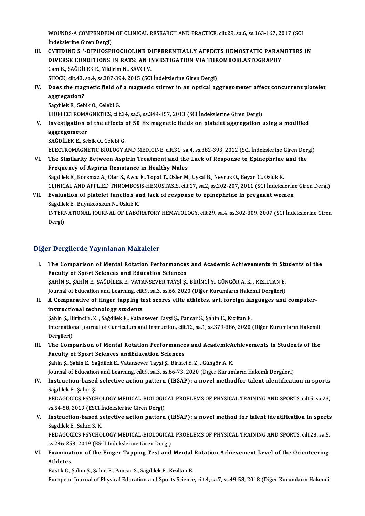WOUNDS-A COMPENDIUM OF CLINICAL RESEARCH AND PRACTICE, cilt.29, sa.6, ss.163-167, 2017 (SCI<br>Indekalarine Ciren Dergi) WOUNDS-A COMPENDIUM<br>İndekslerine Giren Dergi)<br>CYTIDINE 5 ' DIBHOSPI WOUNDS-A COMPENDIUM OF CLINICAL RESEARCH AND PRACTICE, cilt.29, sa.6, ss.163-167, 2017 (SCI<br>Indekslerine Giren Dergi)<br>III. CYTIDINE 5 '-DIPHOSPHOCHOLINE DIFFERENTIALLY AFFECTS HEMOSTATIC PARAMETERS IN

Indekslerine Giren Dergi)<br>III. CYTIDINE 5 '-DIPHOSPHOCHOLINE DIFFERENTIALLY AFFECTS HEMOSTATIC PARAMETERS IN<br>DIVERSE CONDITIONS IN RATS: AN INVESTIGATION VIA THROMBOELASTOGRAPHY Cam B., SAĞDİLEK E., Yildirim N., SAVCI V. SHOCK, cilt.43, sa.4, ss.387-394, 2015 (SCI İndekslerine Giren Dergi) Cam B., SAĞDİLEK E., Yildirim N., SAVCI V.<br>SHOCK, cilt.43, sa.4, ss.387-394, 2015 (SCI İndekslerine Giren Dergi)<br>IV. Does the magnetic field of a magnetic stirrer in an optical aggregometer affect concurrent platelet<br>2

## SHOCK, cilt.43,<br>Does the mag<br>aggregation?<br>Sagdilek E. Seb **Does the magnetic field of<br>aggregation?**<br>Sagdilek E., Sebik O., Celebi G.<br>PLOEL ECTROMACNETICS. cilt aggregation?<br>Sagdilek E., Sebik O., Celebi G.<br>BIOELECTROMAGNETICS, cilt.34, sa.5, ss.349-357, 2013 (SCI İndekslerine Giren Dergi)<br>Investigation of the effects of 50 Hz magnetis fields en platelet aggregation ı

Sagdilek E., Sebik O., Celebi G.<br>BIOELECTROMAGNETICS, cilt.34, sa.5, ss.349-357, 2013 (SCI Indekslerine Giren Dergi)<br>V. Investigation of the effects of 50 Hz magnetic fields on platelet aggregation using a modified<br>aggrega **BIOELECTROMA<br>Investigation<br>aggregometer<br>SAČD<sup>II EV E</sup> So** Investigation of the effects<br>aggregometer<br>SAĞDİLEK E., Sebik O., Celebi G.<br>ELECTROMACNETIC PIOLOCY

aggregometer<br>SAĞDİLEK E., Sebik O., Celebi G.<br>ELECTROMAGNETIC BIOLOGY AND MEDICINE, cilt.31, sa.4, ss.382-393, 2012 (SCI İndekslerine Giren Dergi)<br>The Similarity Petysen Asnirin Treatment and the Lask of Besnanse te Eninen SAĞDİLEK E., Sebik O., Celebi G.<br>ELECTROMAGNETIC BIOLOGY AND MEDICINE, cilt.31, sa.4, ss.382-393, 2012 (SCI İndekslerine Giren Der<br>VI. The Similarity Between Aspirin Treatment and the Lack of Response to Epinephrine and th

ELECTROMAGNETIC BIOLOGY AND MEDICINE, cilt.31, sa.<br>The Similarity Between Aspirin Treatment and the<br>Frequency of Aspirin Resistance in Healthy Males VI. The Similarity Between Aspirin Treatment and the Lack of Response to Epinephrine and the<br>Frequency of Aspirin Resistance in Healthy Males<br>Sagdilek E., Korkmaz A., Oter S., Avcu F., Topal T., Ozler M., Uysal B., Nevruz CLINICALANDAPPLIEDTHROMBOSIS-HEMOSTASIS, cilt.17, sa.2, ss.202-207,2011 (SCI İndekslerineGirenDergi) Sagdilek E., Korkmaz A., Oter S., Avcu F., Topal T., Ozler M., Uysal B., Nevruz O., Beyan C., Ozluk K.<br>CLINICAL AND APPLIED THROMBOSIS-HEMOSTASIS, cilt.17, sa.2, ss.202-207, 2011 (SCI İndekslerine<br>VII. Evaluation of platel

## CLINICAL AND APPLIED THROMBOS.<br>Evaluation of platelet function are<br>Sagdilek E., Buyukcoskun N., Ozluk K.<br>INTERNATIONAL JOURNAL OF LABO. INTERNATIONAL JOURNAL OF LABORATORY HEMATOLOGY, cilt.29, sa.4, ss.302-309, 2007 (SCI İndekslerine Giren<br>Dergi) Sagdilek E., Buyukcoskun N., Ozluk K.

### Diğer Dergilerde Yayınlanan Makaleler

- Iger Dergilerde Yayınlanan Makaleler<br>I. The Comparison of Mental Rotation Performances and Academic Achievements in Students of the<br>Faculty of Sport Sciences and Education Sciences Faculty of Sport Sciences and Education Performances<br>Faculty of Sport Sciences and Education Sciences<br>SAHIN S. SAHIN E. SAČDILEV E. VATANSEVED TAVSLS Faculty of Sport Sciences and Education Sciences<br>ŞAHİN Ş., ŞAHİN E., SAĞDİLEK E., VATANSEVER TAYŞİ Ş., BİRİNCİ Y., GÜNGÖR A. K. , KIZILTAN E. Faculty of Sport Sciences and Education Sciences<br>ŞAHİN Ş., ŞAHİN E., SAĞDİLEK E., VATANSEVER TAYŞİ Ş., BİRİNCİ Y., GÜNGÖR A. K. , KIZILTAN E.<br>Journal of Education and Learning, cilt.9, sa.3, ss.66, 2020 (Diğer Kurumların H SAHİN Ş., ŞAHİN E., SAĞDİLEK E., VATANSEVER TAYŞİ Ş., BİRİNCİ Y., GÜNGÖR A. K. , KIZILTAN E.<br>Journal of Education and Learning, cilt.9, sa.3, ss.66, 2020 (Diğer Kurumların Hakemli Dergileri)<br>II. A Comparative of finger tap
- Journal of Education and Learning, cilt<br>A Comparative of finger tapping to<br>instructional technology students<br>Sehin S. Piringi V.7., Seğdilek E. Veten A Comparative of finger tapping test scores elite athletes, art, foreign lai<br>instructional technology students<br>Şahin Ş., Birinci Y. Z. , Sağdilek E., Vatansever Tayşi Ş., Pancar S., Şahin E., Kızıltan E.<br>International Jour Şahin Ş., Birinci Y. Z., Sağdilek E., Vatansever Tayşi Ş., Pancar S., Şahin E., Kızıltan E.

instructional technology students<br>Sahin Ş., Birinci Y. Z. , Sağdilek E., Vatansever Tayşi Ş., Pancar S., Şahin E., Kızıltan E.<br>International Journal of Curriculum and Instruction, cilt.12, sa.1, ss.379-386, 2020 (Diğer Kur International Journal of Curriculum and Instruction, cilt.12, sa.1, ss.379-386, 2020 (Diğer Kurumların Hakemli<br>Dergileri)<br>III. The Comparison of Mental Rotation Performances and AcademicAchievements in Students of the<br>Facu

Dergileri)<br>The Comparison of Mental Rotation Performance<br>Faculty of Sport Sciences andEducation Sciences<br>Sabin S. Sabin E. Sağdilek E. Vatancever Tevci S. Biring The Comparison of Mental Rotation Performances and AcademicA<br>Faculty of Sport Sciences andEducation Sciences<br>Şahin Ş., Şahin E., Sağdilek E., Vatansever Tayşi Ş., Birinci Y. Z. , Güngör A. K.<br>Journal of Education and Learn Faculty of Sport Sciences andEducation Sciences<br>Şahin Ş., Şahin E., Sağdilek E., Vatansever Tayşi Ş., Birinci Y. Z. , Güngör A. K.<br>Journal of Education and Learning, cilt.9, sa.3, ss.66-73, 2020 (Diğer Kurumların Hakemli D

## Sahin Ș., Șahin E., Sağdilek E., Vatansever Tayşi Ș., Birinci Y. Z. , Güngör A. K.<br>Journal of Education and Learning, cilt.9, sa.3, ss.66-73, 2020 (Diğer Kurumların Hakemli Dergileri)<br>IV. Instruction-based selective action Journal of Education<br>Instruction-based<br>Sağdilek E., Şahin Ş.<br>PEDACOCICS PSYCK Instruction-based selective action pattern (IBSAP): a novel methodfor talent identification in sports<br>Sağdilek E., Şahin Ş.<br>PEDAGOGICS PSYCHOLOGY MEDICAL-BIOLOGICAL PROBLEMS OF PHYSICAL TRAINING AND SPORTS, cilt.5, sa.23,<br>

Sağdilek E., Şahin Ş.<br>PEDAGOGICS PSYCHOLOGY MEDICAL-BIOLOGIO<br>ss.54-58, 2019 (ESCI İndekslerine Giren Dergi)<br>Instruction based selestive astion pattern PEDAGOGICS PSYCHOLOGY MEDICAL-BIOLOGICAL PROBLEMS OF PHYSICAL TRAINING AND SPORTS, cilt.5, sa.23,<br>ss.54-58, 2019 (ESCI indekslerine Giren Dergi)<br>V. Instruction-based selective action pattern (IBSAP): a novel method for tal

## ss.54-58, 2019 (ESCI İ<br>Instruction-based s<br>Sagdilek E., Sahin S. K.<br>PEDACOCICS PSYCHO Instruction-based selective action pattern (IBSAP): a novel method for talent identification in sports<br>Sagdilek E., Sahin S. K.<br>PEDAGOGICS PSYCHOLOGY MEDICAL-BIOLOGICAL PROBLEMS OF PHYSICAL TRAINING AND SPORTS, cilt.23, sa

Sagdilek E., Sahin S. K.<br>PEDAGOGICS PSYCHOLOGY MEDICAL-BIOLOGICAL PROBLEMS OF PHYSICAL TRAINING AND SPORTS, cilt.23, sa.5,<br>ss.246-253, 2019 (ESCI İndekslerine Giren Dergi) PEDAGOGICS PSYCHOLOGY MEDICAL-BIOLOGICAL PROBLEMS OF PHYSICAL TRAINING AND SPORTS, cilt.23, sa.5,<br>ss.246-253, 2019 (ESCI İndekslerine Giren Dergi)<br>VI. Examination of the Finger Tapping Test and Mental Rotation Achievement

ss.246-25<br>Examina<br>Athletes Examination of the Finger Tapping Test and Mental<br>Athletes<br>Bastık C., Şahin Ş., Şahin E., Pancar S., Sağdilek E., Kızıltan E.<br>European Journal of Physical Education and Sports Science Athletes<br>Bastık C., Şahin Ş., Şahin E., Pancar S., Sağdilek E., Kızıltan E.<br>European Journal of Physical Education and Sports Science, cilt.4, sa.7, ss.49-58, 2018 (Diğer Kurumların Hakemli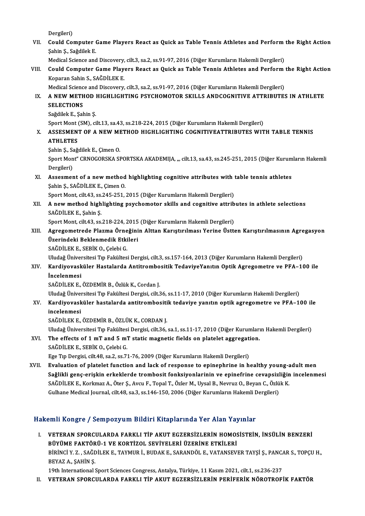Dergileri)

Dergileri)<br>VII. Could Computer Game Players React as Quick as Table Tennis Athletes and Perform the Right Action<br>Sebin S. Seğdilek E Dergileri)<br>Could Computer (<br>Şahin Ş., Sağdilek E.<br>Medigal Sajance and Could Computer Game Players React as Quick as Table Tennis Athletes and Perform<br>Şahin Ş., Sağdilek E.<br>Medical Science and Discovery, cilt.3, sa.2, ss.91-97, 2016 (Diğer Kurumların Hakemli Dergileri)<br>Could Computer Came Pla

Şahin Ş., Sağdilek E.<br>Medical Science and Discovery, cilt.3, sa.2, ss.91-97, 2016 (Diğer Kurumların Hakemli Dergileri)<br>VIII. Could Computer Game Players React as Quick as Table Tennis Athletes and Perform the Right Act Medical Science and Discovery, cilt.3, sa.2, ss.91-97, 2016 (Diğer Kurumların Hakemli Dergileri)<br>Could Computer Game Players React as Quick as Table Tennis Athletes and Perform<br>Koparan Sahin S., SAĞDİLEK E. Could Computer Game Players React as Quick as Table Tennis Athletes and Perform<br>Koparan Sahin S., SAĞDİLEK E.<br>Medical Science and Discovery, cilt.3, sa.2, ss.91-97, 2016 (Diğer Kurumların Hakemli Dergileri)<br>A NEW METHOD HI

- Koparan Sahin S., SAĞDİLEK E.<br>Medical Science and Discovery, cilt.3, sa.2, ss.91-97, 2016 (Diğer Kurumların Hakemli Dergileri)<br>IX. A NEW METHOD HIGHLIGHTING PSYCHOMOTOR SKILLS ANDCOGNITIVE ATTRIBUTES IN ATHLETE<br>SELECTI Medical Science and Discovery, cilt.3, sa.2, ss.91-97, 2016 (Diğer Kurumların Hakemli Dergileri)<br>A NEW METHOD HIGHLIGHTING PSYCHOMOTOR SKILLS ANDCOGNITIVE ATTRIBUTE<br>SELECTIONS<br>Sağdilek E., Şahin Ş. A NEW METHOD |<br>SELECTIONS<br>Sağdilek E., Şahin Ş.<br>Sport Mont (SM) .ci S<mark>ELECTIONS</mark><br>Sağdilek E., Şahin Ş.<br>Sport Mont (SM), cilt.13, sa.43, ss.218-224, 2015 (Diğer Kurumların Hakemli Dergileri)<br>ASSESMENT OF A NEW METHOD HICHI ICHTING COCNITIVEATTPIPIITES WIT
	-

### X. ASSESMENT OF A NEW METHOD HIGHLIGHTING COGNITIVEATTRIBUTES WITH TABLE TENNIS<br>ATHLETES Sport Mont<br>ASSESMEN<br>ATHLETES<br>Sobin S. Soğ ASSESMENT OF A NEW MI<br>ATHLETES<br>Şahin Ş., Sağdilek E., Çimen O.<br>Sport Mort" CBNOCOBSKA SI

Sport Mont" CRNOGORSKA SPORTSKA AKADEMIJA, ", cilt.13, sa.43, ss.245-251, 2015 (Diğer Kurumların Hakemli Dergileri) Sahin S., Sa<br>Sport Mon<br>Dergileri)<br>Assesmor Sport Mont" CRNOGORSKA SPORTSKA AKADEMIJA, ", cilt.13, sa.43, ss.245-251, 2015 (Diğer Kurum<br>Dergileri)<br>XI. Assesment of a new method highlighting cognitive attributes with table tennis athletes<br>Sobin S. SAČDİLEK E. Ciman O

## Dergileri)<br>Assesment of a new method<br>Şahin Ş., SAĞDİLEK E., Çimen O.<br>Spert Mont. silt 43. es 245. 251. Assesment of a new method highlighting cognitive attributes with t<br>Sahin S., SAĞDİLEK E., Çimen O.<br>Sport Mont, cilt.43, ss.245-251, 2015 (Diğer Kurumların Hakemli Dergileri)<br>A new method highlighting nevehometer skille and

Şahin Ş., SAĞDİLEK E., Çimen O.<br>Sport Mont, cilt.43, ss.245-251, 2015 (Diğer Kurumların Hakemli Dergileri)<br>XII. A new method highlighting psychomotor skills and cognitive attributes in athlete selections<br>SAĞDİLEKE Sobi Sport Mont, cilt.43, ss.<br>A new method high<br>SAĞDİLEK E., Şahin Ş.<br>Sport Mont, cilt.43, ss. A new method highlighting psychomotor skills and cognitive attrib<br>SAĞDİLEK E., Şahin Ş.<br>Sport Mont, cilt.43, ss.218-224, 2015 (Diğer Kurumların Hakemli Dergileri)<br>Agregometrode Plazma Örneğinin Alttan Karıstırılması Yerine

## SAĞDİLEK E., Şahin Ş.<br>Sport Mont, cilt.43, ss.218-224, 2015 (Diğer Kurumların Hakemli Dergileri)<br>XIII. Agregometrede Plazma Örneğinin Alttan Karıştırılması Yerine Üstten Karıştırılmasının Agregasyon<br>Ügenindeki Beklenme Sport Mont, cilt.43, ss.218-224, 2015<br>Agregometrede Plazma Örneğini<br>Üzerindeki Beklenmedik Etkileri<br>SAĞDİLEKE SERİK O-Gelebi G Agregometrede Plazma Örne<br>Üzerindeki Beklenmedik Etki<br>SAĞDİLEK E., SEBİK O., Çelebi G.<br>Uludağ Üniversitesi Tın Fakültes Üzerindeki Beklenmedik Etkileri<br>SAĞDİLEK E., SEBİK O., Çelebi G.<br>Uludağ Üniversitesi Tıp Fakültesi Dergisi, cilt.3, ss.157-164, 2013 (Diğer Kurumların Hakemli Dergileri)<br>Kardiyayasküler Hastalarda Antitrembesitik TedayiyeY

## SAĞDİLEK E., SEBİK O., Çelebi G.<br>Uludağ Üniversitesi Tıp Fakültesi Dergisi, cilt.3, ss.157-164, 2013 (Diğer Kurumların Hakemli Dergileri)<br>XIV. Kardiyovasküler Hastalarda Antitrombositik TedaviyeYanıtın Optik Agregometr Uludağ Üniver<br><mark>Kardiyovask</mark><br>İncelenmesi<br>s<u>ağnit E</u>v E Kardiyovasküler Hastalarda Antitrombositik TedaviyeYanıtın Optik Agregometre ve PFA-100 ile<br>İncelenmesi<br>SAĞDİLEK E., ÖZDEMİR B., Özlük K., Cordan J. İncelenmesi<br>SAĞDİLEK E., ÖZDEMİR B., Özlük K., Cordan J.<br>Uludağ Üniversitesi Tıp Fakültesi Dergisi, cilt.36, ss.11-17, 2010 (Diğer Kurumların Hakemli Dergileri)<br>Kandiyeyesküler bastalarda antitrembesitik tedeviye yenıtın e

XV. Kardiyovasküler hastalarda antitrombositik tedaviye yanıtın optik agregometre ve PFA–100 ile Uludağ Üniver<br><mark>Kardiyovask</mark><br>incelenmesi<br>s<u>ağnive</u>v e

SAĞDİLEK E., ÖZDEMİR B., ÖZLÜK K., CORDAN J.

Uludağ Üniversitesi Tıp Fakültesi Dergisi, cilt.36, sa.1, ss.11-17, 2010 (Diğer Kurumların Hakemli Dergileri)

## SAĞDİLEK E., ÖZDEMİR B., ÖZLÜK K., CORDAN J.<br>Uludağ Üniversitesi Tıp Fakültesi Dergisi, cilt.36, sa.1, ss.11-17, 2010 (Diğer Kurumları<br>XVI. The effects of 1 mT and 5 mT static magnetic fields on platelet aggregation. Uludağ Üniversitesi Tıp Fakültes.<br>The effects of 1 mT and 5 m'<br>SAĞDİLEK E., SEBİK 0., Çelebi G.<br>Ese Tıp Dergisi, silt 48, sa 3, sa 7; The effects of 1 mT and 5 mT static magnetic fields on platelet aggregati<br>SAĞDİLEK E., SEBİK O., Çelebi G.<br>Ege Tıp Dergisi, cilt.48, sa.2, ss.71-76, 2009 (Diğer Kurumların Hakemli Dergileri)<br>Evaluation of platelet function

SAĞDİLEK E., SEBİK O., Çelebi G.<br>Ege Tıp Dergisi, cilt.48, sa.2, ss.71-76, 2009 (Diğer Kurumların Hakemli Dergileri)<br>XVII. Evaluation of platelet function and lack of response to epinephrine in healthy young-adult men Ege Tıp Dergisi, cilt.48, sa.2, ss.71-76, 2009 (Diğer Kurumların Hakemli Dergileri)<br>Evaluation of platelet function and lack of response to epinephrine in healthy young-adult men<br>Sağlikli genç-erişkin erkeklerde trombosit Evaluation of platelet function and lack of response to epinephrine in healthy young-a<br>Sağlikli genç-erişkin erkeklerde trombosit fonksiyonlarinin ve epinefrine cevapsizliğin<br>SAĞDİLEK E., Korkmaz A., Öter Ş., Avcu F., Topa Sağlikli genç-erişkin erkeklerde trombosit fonksiyonlarinin ve epinefrine cevapsizliğin incelenmesi<br>SAĞDİLEK E., Korkmaz A., Öter Ş., Avcu F., Topal T., Özler M., Uysal B., Nevruz O., Beyan C., Özlük K.<br>Gulhane Medical Jou

#### Hakemli Kongre / Sempozyum Bildiri Kitaplarında Yer Alan Yayınlar

akemli Kongre / Sempozyum Bildiri Kitaplarında Yer Alan Yayınlar<br>I. VETERAN SPORCULARDA FARKLI TİP AKUT EGZERSİZLERİN HOMOSİSTEİN, İNSÜLİN BENZERİ<br>PÜVÜME FAKTÖRÜ 1 VE KORTİZOL SEVİYELERİ ÜZERİNE ETKİLERİ SIIII ISONGLET JESINDOLYUM DITIHI INSEPTENTING TELIMI TELI<br>BÜYÜME FAKTÖRÜ-1 VE KORTİZOL SEVİYELERİ ÜZERİNE ETKİLERİ<br>BÜRİNCI V.Z. SAĞDİLEK E. TAYMUR İ. BUDAKE SARANDÖLE VATANSEVI VETERAN SPORCULARDA FARKLI TİP AKUT EGZERSİZLERİN HOMOSİSTEİN, İNSÜLİN BENZERİ<br>BÜYÜME FAKTÖRÜ-1 VE KORTİZOL SEVİYELERİ ÜZERİNE ETKİLERİ<br>BİRİNCİ Y. Z. , SAĞDİLEK E., TAYMUR İ., BUDAK E., SARANDÖL E., VATANSEVER TAYŞİ Ş., PA BÜYÜME FAKTÖR<br>BİRİNCİ Y. Z. , SAĞL<br>BEYAZ A., ŞAHİN Ş.<br>10th International 1 BİRİNCİ Y. Z. , SAĞDİLEK E., TAYMUR İ., BUDAK E., SARANDÖL E., VATANSEVER TAYŞİ Ş., PANC*ı*<br>BEYAZ A., ŞAHİN Ş.<br>19th International Sport Sciences Congress, Antalya, Türkiye, 11 Kasım 2021, cilt.1, ss.236-237<br>VETERAN, SPORCU BEYAZ A., ŞAHİN Ş.<br>19th International Sport Sciences Congress, Antalya, Türkiye, 11 Kasım 2021, cilt.1, ss.236-237<br>II. VETERAN SPORCULARDA FARKLI TİP AKUT EGZERSİZLERİN PERİFERİK NÖROTROFİK FAKTÖR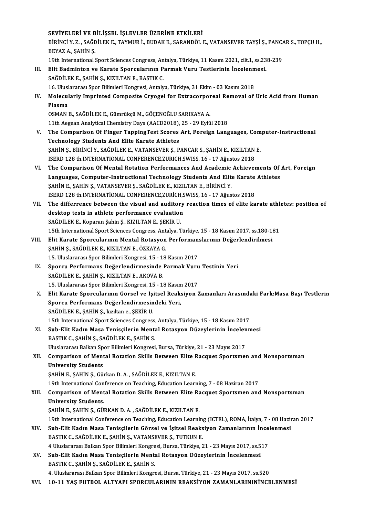## SEVİYELERİ VE BİLİŞSEL İŞLEVLER ÜZERİNE ETKİLERİ<br>PİRİNCİ V.Z., SAĞDİLEK E. TAYMUR İ. BUDAKE, SARANDÖLL

SEVİYELERİ VE BİLİŞSEL İŞLEVLER ÜZERİNE ETKİLERİ<br>BİRİNCİ Y. Z. , SAĞDİLEK E., TAYMUR İ., BUDAK E., SARANDÖL E., VATANSEVER TAYŞİ Ş., PANCAR S., TOPÇU H.,<br>REVAZ A. SAHİN S. SEVİYELERİ VE B<br>BİRİNCİ Y. Z. , SAĞL<br>BEYAZ A., ŞAHİN Ş.<br>10th International 1 BİRİNCİ Y. Z. , SAĞDİLEK E., TAYMUR İ., BUDAK E., SARANDÖL E., VATANSEVER TAYŞİ Ş., PANC.<br>BEYAZ A., ŞAHİN Ş.<br>19th International Sport Sciences Congress, Antalya, Türkiye, 11 Kasım 2021, cilt.1, ss.238-239<br>Elit Bedminten ve

BEYAZ A., ŞAHİN Ş.<br>19th International Sport Sciences Congress, Antalya, Türkiye, 11 Kasım 2021, cilt.1, ss.23<br>III. Elit Badminton ve Karate Sporcularının Parmak Vuru Testlerinin İncelenmesi.<br>5 Ağplı EK E. SAHİN S. KIZILTAN 19th International Sport Sciences Congress, Antalya, Türkiye, 11 Kasım 2021, cilt.1, ss.238-239<br>Elit Badminton ve Karate Sporcularının Parmak Vuru Testlerinin İncelenmesi.<br>SAĞDİLEK E., ŞAHİN Ş., KIZILTAN E., BASTIK C. Elit Badminton ve Karate Sporcularının Parmak Vuru Testlerinin İncelenm<br>SAĞDİLEK E., ŞAHİN Ş., KIZILTAN E., BASTIK C.<br>16. Uluslararası Spor Bilimleri Kongresi, Antalya, Türkiye, 31 Ekim - 03 Kasım 2018<br>Malasıylarlu İmnrint IV. Molecularly Imprinted Composite Cryogel for Extracorporeal Removal of Uric Acid from Human<br>Plasma 16. Uluslararası Spor Bilimleri Kongresi, Antalya, Türkiye, 31 Ekim - 03 Kasım 2018 OSMAN B., SAĞDİLEK E., Gümrükçü M., GÖÇENOĞLU SARIKAYA A. Plasma<br>OSMAN B., SAĞDİLEK E., Gümrükçü M., GÖÇENOĞLU SARIKAYA A.<br>11th Aegean Analytical Chemistry Days (AACD2018), 25 - 29 Eylül 2018<br>The Comparison Of Einger TenningTest Seeres Art, Eereisp Lane V. The Comparison Of Finger TappingTest Scores Art, Foreign Languages, Computer-Instructional 11th Aegean Analytical Chemistry Days (AACD2018),<br>The Comparison Of Finger TappingTest Scores<br>Technology Students And Elite Karate Athletes<br>SAHIN S, Pipinci V, SAČDU EK E, VATANSEVED S, B The Comparison Of Finger TappingTest Scores Art, Foreign Languages, Com<br>Technology Students And Elite Karate Athletes<br>ŞAHİN Ş., BİRİNCİ Y., SAĞDİLEK E., VATANSEVER Ş., PANCAR S., ŞAHİN E., KIZILTAN E.<br>ISERD 128 th INTERNAT Technology Students And Elite Karate Athletes<br>ŞAHİN Ş., BİRİNCİ Y., SAĞDİLEK E., VATANSEVER Ş., PANCAR S., ŞAHİN E., KIZILTAN<br>ISERD 128 th.INTERNATIONAL CONFERENCE,ZURICH,SWISS, 16 - 17 Ağustos 2018<br>The Comparison Of Monta

SAHIN S., BIRINCI Y., SAĞDILEK E., VATANSEVER Ş., PANCAR S., SAHIN E., KIZILTAN E.<br>ISERD 128 th.INTERNATIONAL CONFERENCE,ZURICH,SWISS, 16 - 17 Ağustos 2018<br>VI. The Comparison Of Mental Rotation Performances And Academic Ac

- ISERD 128 th.INTERNATIONAL CONFERENCE,ZURICH,SWISS, 16 17 Ağustos 2018<br>The Comparison Of Mental Rotation Performances And Academic Achievements Of<br>Languages, Computer-Instructional Technology Students And Elite Karate At The Comparison Of Mental Rotation Performances And Academic<br>Languages, Computer-Instructional Technology Students And Elit<br>ŞAHİN E., ŞAHİN Ş., VATANSEVER Ş., SAĞDİLEK E., KIZILTAN E., BİRİNCİ Y.<br>ISERD 129 th INTERNATIONAL Languages, Computer-Instructional Technology Students And Elite Karate Athletes<br>SAHIN E., ŞAHIN Ş., VATANSEVER Ş., SAĞDİLEK E., KIZILTAN E., BIRINCI Y.<br>ISERD 128 th.INTERNATIONAL CONFERENCE,ZURİCH,SWISS, 16 - 17 Ağustos 20 SAHIN E., SAHIN S., VATANSEVER S., SAĞDILEK E., KIZILTAN E., BIRINCI Y.<br>ISERD 128 th.INTERNATIONAL CONFERENCE,ZURICH,SWISS, 16 - 17 Ağustos 2018<br>VII. The differrence between the visual and auditory reaction times of el
- ISERD 128 th.INTERNATIONAL CONFERENCE,ZURICH,S<br>The differrence between the visual and auditory<br>desktop tests in athlete performance evaluation<br>SAČDILEVE, Vonaran Sobin S, VIZU TAN E, SEVIP U The differrence between the visual and auditor<br>desktop tests in athlete performance evaluation<br>SAĞDİLEK E., Koparan Şahin Ş., KIZILTAN E., ŞEKİR U.<br>15th International Spert Sciences Congress, Antalya T desktop tests in athlete performance evaluation<br>SAĞDİLEK E., Koparan Şahin Ş., KIZILTAN E., ŞEKİR U.<br>15th International Sport Sciences Congress, Antalya, Türkiye, 15 - 18 Kasım 2017, ss.180-181<br>Elit Karata Sporgularının Ma SAĞDİLEK E., Koparan Şahin Ş., KIZILTAN E., ŞEKİR U.<br>15th International Sport Sciences Congress, Antalya, Türkiye, 15 - 18 Kasım 2017, ss.180-18<br>1911. – Elit Karate Sporcularının Mental Rotasyon Performanslarının Değerlend
- 15th International Sport Sciences Congress, Ant<br>Elit Karate Sporcularının Mental Rotasyon<br>ŞAHİN Ş., SAĞDİLEK E., KIZILTAN E., ÖZKAYA G.<br>15. Uluslararası Spor Bilimleri Kongresi, 15., 19. Elit Karate Sporcularının Mental Rotasyon Performan<br>ŞAHİN Ş., SAĞDİLEK E., KIZILTAN E., ÖZKAYA G.<br>15. Uluslararası Spor Bilimleri Kongresi, 15 - 18 Kasım 2017<br>Sporgu Berformans Değerlendirmesinde Bermek Vuru ŞAHİN Ş., SAĞDİLEK E., KIZILTAN E., ÖZKAYA G.<br>15. Uluslararası Spor Bilimleri Kongresi, 15 - 18 Kasım 2017<br>IX. Sporcu Performans Değerlendirmesinde Parmak Vuru Testinin Yeri<br>SAĞDİLEK E., ŞAHİN Ş., KIZILTAN E., AKOVA B. 15. Uluslararası Spor Bilimleri Kongresi, 15 - 18 Kasım 2017
- Sporcu Performans Değerlendirmesinde Parmak Vuru<br>SAĞDİLEK E., ŞAHİN Ş., KIZILTAN E., AKOVA B.<br>15. Uluslararası Spor Bilimleri Kongresi, 15 18 Kasım 2017<br>Elit Kanata Sporgularının Görgel ve İsitesl Beaksiven 2
- X. Elit Karate Sporcularının Görsel ve İşitsel Reaksiyon Zamanları Arasındaki Fark:Masa Başı Testlerin 15. Uluslararası Spor Bilimleri Kongresi, 15 - 18 Kasım<br>Elit Karate Sporcularının Görsel ve İşitsel Reaks<br>Sporcu Performans Değerlendirmesindeki Yeri,<br>SAĞDİLEKE SAHİN Salamltan e SEKİR H SAĞDİLEK E., ŞAHİN Ş., kızıltan e., ŞEKİR U. 15th International Sport Sciences Congress, Antalya, Türkiye, 15 - 18 Kasım 2017 SAĞDİLEK E., ŞAHİN Ş., kızıltan e., ŞEKİR U.<br>15th International Sport Sciences Congress, Antalya, Türkiye, 15 - 18 Kasım 2017<br>XI. Sub-Elit Kadın Masa Tenisçilerin Mental Rotasyon Düzeylerinin İncelenmesi<br>RASTIK G. SAHİN S.

15th International Sport Sciences Congress<br>Sub-Elit Kadın Masa Tenisçilerin Menta<br>BASTIK C., ŞAHİN Ş., SAĞDİLEK E., ŞAHİN S.<br>Hluelararesi Ballan Spor Bilimleri Kongresi Sub-Elit Kadın Masa Tenisçilerin Mental Rotasyon Düzeylerinin İncelen<br>BASTIK C., ŞAHİN Ş., SAĞDİLEK E., ŞAHİN S.<br>Uluslararası Balkan Spor Bilimleri Kongresi, Bursa, Türkiye, 21 - 23 Mayıs 2017<br>Camnarisan of Mantal Batatian

BASTIK C., ŞAHİN Ş., SAĞDİLEK E., ŞAHİN S.<br>Uluslararası Balkan Spor Bilimleri Kongresi, Bursa, Türkiye, 21 - 23 Mayıs 2017<br>XII. Comparison of Mental Rotation Skills Between Elite Racquet Sportsmen and Nonsportsman<br>Univ Uluslararası Balkan Spor Bilimleri Kongresi, Bursa, Türkiye, 21 - 23 Mayıs 2017<br>Comparison of Mental Rotation Skills Between Elite Racquet Sportsme<br>University Students<br>SAHİN E., ŞAHİN S., Gürkan D. A., SAĞDİLEK E., KIZILTA Comparison of Mental Rotation Skills Between Elite I<br>University Students<br>ŞAHİN E., ŞAHİN Ş., Gürkan D. A. , SAĞDİLEK E., KIZILTAN E.<br>19th International Conference en Teaching Education Learn

19th International Conference on Teaching, Education Learning, 7 - 08 Haziran 2017

SAHIN E., SAHIN S., Gürkan D. A. , SAĞDİLEK E., KIZILTAN E.<br>19th International Conference on Teaching, Education Learning, 7 - 08 Haziran 2017<br>XIII. Comparison of Mental Rotation Skills Between Elite Racquet Sportsmen 19th International Con<br>Comparison of Ment<br>University Students.<br>SAHINE SAHINS CU Comparison of Mental Rotation Skills Between Elite Ra<br>University Students.<br>ŞAHİN E., ŞAHİN Ş., GÜRKAN D.A. , SAĞDİLEK E., KIZILTAN E.<br>19th International Conference en Teaching, Education Learni University Students.<br>ŞAHİN E., ŞAHİN Ş., GÜRKAN D. A. , SAĞDİLEK E., KIZILTAN E.<br>19th International Conference on Teaching, Education Learning (ICTEL), ROMA, İtalya, 7 - 08 Haziran 2017<br>Sub. Elit Kadın Masa Tenissilerin Cö

- SAHİN E., ŞAHİN Ş., GÜRKAN D. A. , SAĞDİLEK E., KIZILTAN E.<br>19th International Conference on Teaching, Education Learning (ICTEL), ROMA, İtalya, 7 08 Hazir<br>XIV. Sub-Elit Kadın Masa Tenisçilerin Görsel ve İşitsel Reaksiyo 19th International Conference on Teaching, Education Learning<br>Sub-Elit Kadın Masa Tenisçilerin Görsel ve İşitsel Reaks<br>BASTIK C., SAĞDİLEK E., ŞAHİN Ş., VATANSEVER Ş., TUTKUN E.<br>4 Huskapanea Balkan Spor Bilimleri Kongresi, Sub-Elit Kadın Masa Tenisçilerin Görsel ve İşitsel Reaksiyon Zamanlarının İnce<br>BASTIK C., SAĞDİLEK E., ŞAHİN Ş., VATANSEVER Ş., TUTKUN E.<br>4 Uluslararası Balkan Spor Bilimleri Kongresi, Bursa, Türkiye, 21 - 23 Mayıs 2017, s
- BASTIK C., SAĞDİLEK E., ŞAHİN Ş., VATANSEVER Ş., TUTKUN E.<br>4 Uluslararası Balkan Spor Bilimleri Kongresi, Bursa, Türkiye, 21 23 Mayıs 2017, ss.5<br>XV. Sub-Elit Kadın Masa Tenisçilerin Mental Rotasyon Düzeylerinin İncelen 4 Uluslararası Balkan Spor Bilimleri Kongre<br>Sub-Elit Kadın Masa Tenisçilerin Menta<br>BASTIK C., ŞAHİN Ş., SAĞDİLEK E., ŞAHİN S.<br>4 Hivelararası Balkan Spor Bilimleri Kongre Sub-Elit Kadın Masa Tenisçilerin Mental Rotasyon Düzeylerinin İncelenmesi<br>BASTIK C., ŞAHİN Ş., SAĞDİLEK E., ŞAHİN S.<br>4. Uluslararası Balkan Spor Bilimleri Kongresi, Bursa, Türkiye, 21 - 23 Mayıs 2017, ss.520<br>10.11 YAS EUTR BASTIK C., ŞAHİN Ş., SAĞDİLEK E., ŞAHİN S.<br>4. Uluslararası Balkan Spor Bilimleri Kongresi, Bursa, Türkiye, 21 - 23 Mayıs 2017, ss.520<br>10-11 YAŞ FUTBOL ALTYAPI SPORCULARININ REAKSİYON ZAMANLARININİNCELENMESİ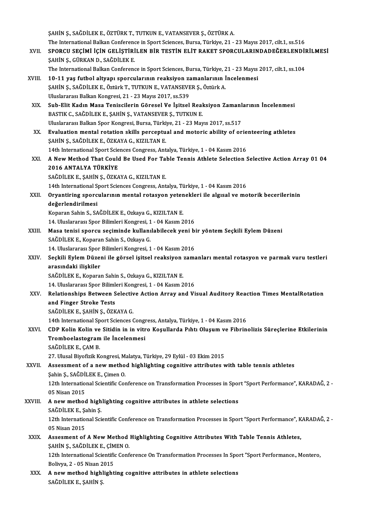|         | ŞAHİN Ş., SAĞDİLEK E., ÖZTÜRK T., TUTKUN E., VATANSEVER Ş., ÖZTÜRK A.                                                    |
|---------|--------------------------------------------------------------------------------------------------------------------------|
|         | The International Balkan Conference in Sport Sciences, Bursa, Türkiye, 21 - 23 Mayıs 2017, cilt.1, ss.516                |
| XVII.   | SPORCU SEÇİMİ İÇİN GELİŞTİRİLEN BİR TESTİN ELİT RAKET SPORCULARINDADEĞERLENDİRİLMESİ<br>ŞAHİN Ş., GÜRKAN D., SAĞDİLEK E. |
|         | The International Balkan Conference in Sport Sciences, Bursa, Türkiye, 21 - 23 Mayıs 2017, cilt.1, ss.104                |
| XVIII.  | 10-11 yaş futbol altyapı sporcularının reaksiyon zamanlarının İncelenmesi                                                |
|         | ŞAHİN Ş., SAĞDİLEK E., Öztürk T., TUTKUN E., VATANSEVER Ş., Öztürk A.                                                    |
|         | Uluslararası Balkan Kongresi, 21 - 23 Mayıs 2017, ss.539                                                                 |
| XIX.    | Sub-Elit Kadın Masa Teniscilerin Göresel Ve İşitsel Reaksiyon Zamanlarının İncelenmesi                                   |
|         | BASTIK C., SAĞDİLEK E., ŞAHİN Ş., VATANSEVER Ş., TUTKUN E.                                                               |
|         | Uluslararası Balkan Spor Kongresi, Bursa, Türkiye, 21 - 23 Mayıs 2017, ss.517                                            |
| XX.     | Evaluation mental rotation skills perceptual and motoric ability of orienteering athletes                                |
|         | ŞAHİN Ş., SAĞDİLEK E., ÖZKAYA G., KIZILTAN E.                                                                            |
|         | 14th International Sport Sciences Congress, Antalya, Türkiye, 1 - 04 Kasım 2016                                          |
| XXI.    | A New Method That Could Be Used For Table Tennis Athlete Selection Selective Action Array 01 04                          |
|         | 2016 ANTALYA TÜRKİYE                                                                                                     |
|         | SAĞDİLEK E., ŞAHİN Ş., ÖZKAYA G., KIZILTAN E.                                                                            |
|         | 14th International Sport Sciences Congress, Antalya, Türkiye, 1 - 04 Kasım 2016                                          |
| XXII.   | Oryantiring sporcularının mental rotasyon yetenekleri ile algısal ve motorik becerilerinin                               |
|         | değerlendirilmesi                                                                                                        |
|         | Koparan Sahin S., SAĞDİLEK E., Ozkaya G., KIZILTAN E.                                                                    |
|         | 14. Uluslararası Spor Bilimleri Kongresi, 1 - 04 Kasım 2016                                                              |
| XXIII.  | Masa tenisi sporcu seçiminde kullanılabilecek yeni bir yöntem Seçkili Eylem Düzeni                                       |
|         | SAĞDİLEK E., Koparan Sahin S., Ozkaya G.                                                                                 |
|         | 14. Uluslararası Spor Bilimleri Kongresi, 1 - 04 Kasım 2016                                                              |
| XXIV    | Seçkili Eylem Düzeni ile görsel işitsel reaksiyon zamanları mental rotasyon ve parmak vuru testleri                      |
|         | arasındaki ilişkiler                                                                                                     |
|         | SAĞDİLEK E., Koparan Sahin S., Ozkaya G., KIZILTAN E.                                                                    |
|         | 14. Uluslararası Spor Bilimleri Kongresi, 1 - 04 Kasım 2016                                                              |
| XXV.    | Relationships Between Selective Action Array and Visual Auditory Reaction Times MentalRotation                           |
|         | and Finger Stroke Tests                                                                                                  |
|         | SAĞDİLEK E., ŞAHİN Ş., ÖZKAYA G.                                                                                         |
|         | 14th International Sport Sciences Congress, Antalya, Türkiye, 1 - 04 Kasım 2016                                          |
| XXVI.   | CDP Kolin Kolin ve Sitidin in in vitro Koşullarda Pıhtı Oluşum ve Fibrinolizis Süreçlerine Etkilerinin                   |
|         | Tromboelastogram ile Incelenmesi                                                                                         |
|         | SAĞDİLEK E, ÇAM B.                                                                                                       |
|         | 27. Ulusal Biyofizik Kongresi, Malatya, Türkiye, 29 Eylül - 03 Ekim 2015                                                 |
| XXVII.  | Assessment of a new method highlighting cognitive attributes with table tennis athletes                                  |
|         | Şahin Ş., SAĞDİLEK E., Çimen O.                                                                                          |
|         | 12th International Scientific Conference on Transformation Processes in Sport "Sport Performance", KARADAĞ, 2 -          |
|         | 05 Nisan 2015                                                                                                            |
| XXVIII. | A new method highlighting cognitive attributes in athlete selections<br>SAĞDİLEK E , Şahin Ş                             |
|         | 12th International Scientific Conference on Transformation Processes in Sport "Sport Performance", KARADAĞ, 2 -          |
|         | 05 Nisan 2015                                                                                                            |
| XXIX.   | Assesment of A New Method Highlighting Cognitive Attributes With Table Tennis Athletes,                                  |
|         | ŞAHİN Ş., SAĞDİLEK E., ÇİMEN O.                                                                                          |
|         | 12th International Scientific Conference On Transformation Processes In Sport "Sport Performance., Montero,              |
|         | Bolivya, 2 - 05 Nisan 2015                                                                                               |
| XXX.    | A new method highlighting cognitive attributes in athlete selections                                                     |
|         | SAĞDİLEK E., ŞAHİN Ş.                                                                                                    |